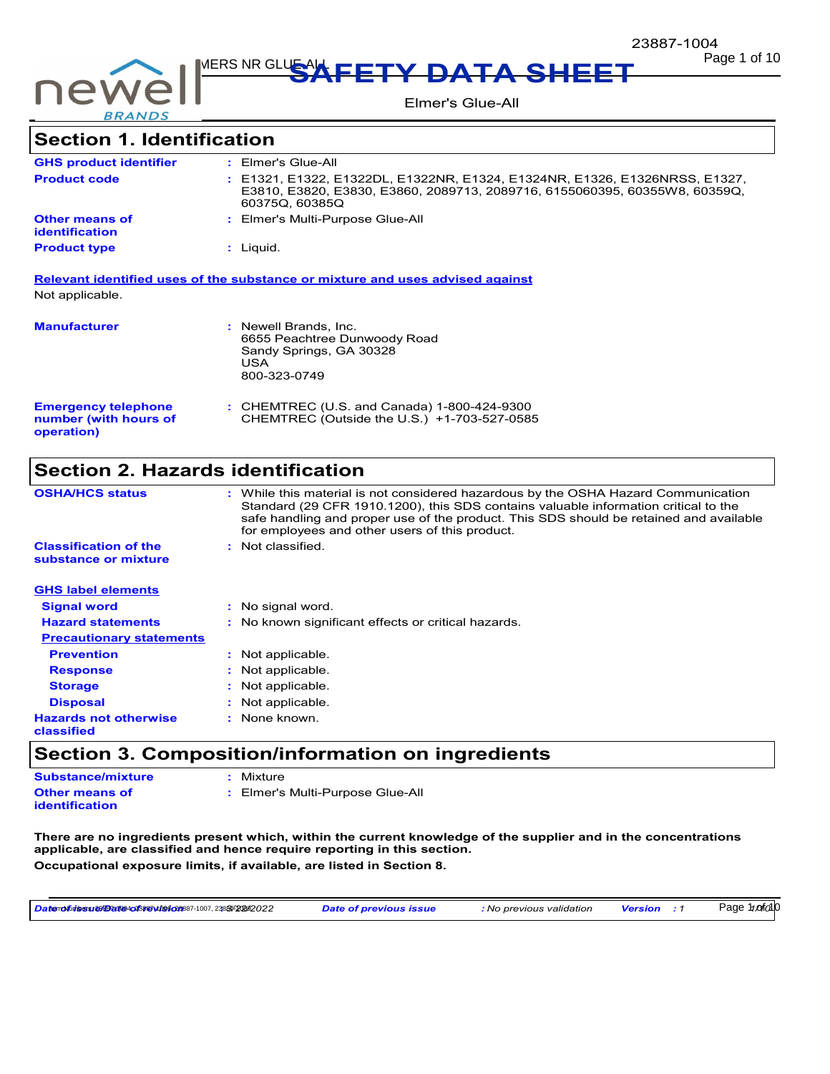

**Page 1 of 10** Page 1 of 10

Elmer's Glue-All

# **Section 1. Identification**

| : Elmer's Glue-All                                                                                                                                                         |
|----------------------------------------------------------------------------------------------------------------------------------------------------------------------------|
| : E1321, E1322, E1322DL, E1322NR, E1324, E1324NR, E1326, E1326NRSS, E1327,<br>E3810, E3820, E3830, E3860, 2089713, 2089716, 6155060395, 60355W8, 60359Q,<br>60375Q, 60385Q |
| : Elmer's Multi-Purpose Glue-All                                                                                                                                           |
| $:$ Liquid.                                                                                                                                                                |
|                                                                                                                                                                            |

**Relevant identified uses of the substance or mixture and uses advised against** Not applicable.

| <b>Manufacturer</b>                                               | : Newell Brands. Inc.<br>6655 Peachtree Dunwoody Road<br>Sandy Springs, GA 30328<br>USA<br>800-323-0749 |
|-------------------------------------------------------------------|---------------------------------------------------------------------------------------------------------|
| <b>Emergency telephone</b><br>number (with hours of<br>operation) | : CHEMTREC (U.S. and Canada) 1-800-424-9300<br>CHEMTREC (Outside the U.S.) +1-703-527-0585              |

## **Section 2. Hazards identification**

| <b>OSHA/HCS status</b>                               | : While this material is not considered hazardous by the OSHA Hazard Communication<br>Standard (29 CFR 1910.1200), this SDS contains valuable information critical to the<br>safe handling and proper use of the product. This SDS should be retained and available<br>for employees and other users of this product. |
|------------------------------------------------------|-----------------------------------------------------------------------------------------------------------------------------------------------------------------------------------------------------------------------------------------------------------------------------------------------------------------------|
| <b>Classification of the</b><br>substance or mixture | : Not classified.                                                                                                                                                                                                                                                                                                     |
| <b>GHS label elements</b>                            |                                                                                                                                                                                                                                                                                                                       |
| <b>Signal word</b>                                   | : No signal word.                                                                                                                                                                                                                                                                                                     |
| <b>Hazard statements</b>                             | : No known significant effects or critical hazards.                                                                                                                                                                                                                                                                   |
| <b>Precautionary statements</b>                      |                                                                                                                                                                                                                                                                                                                       |
| <b>Prevention</b>                                    | : Not applicable.                                                                                                                                                                                                                                                                                                     |
| <b>Response</b>                                      | : Not applicable.                                                                                                                                                                                                                                                                                                     |
| <b>Storage</b>                                       | : Not applicable.                                                                                                                                                                                                                                                                                                     |
| <b>Disposal</b>                                      | Not applicable.                                                                                                                                                                                                                                                                                                       |
| <b>Hazards not otherwise</b><br>classified           | : None known.                                                                                                                                                                                                                                                                                                         |

## **Section 3. Composition/information on ingredients**

| <b>Substance/mixture</b>                | : Mixture                        |
|-----------------------------------------|----------------------------------|
| <b>Other means of</b><br>identification | : Elmer's Multi-Purpose Glue-All |

**There are no ingredients present which, within the current knowledge of the supplier and in the concentrations applicable, are classified and hence require reporting in this section. Occupational exposure limits, if available, are listed in Section 8.**

<mark>Datemofutsesrജിയ സ്കോ</mark>ജന് കോട്ടോ <mark>Date of previous issue : No previous validation Version :1 Page 1/x1f01</mark>0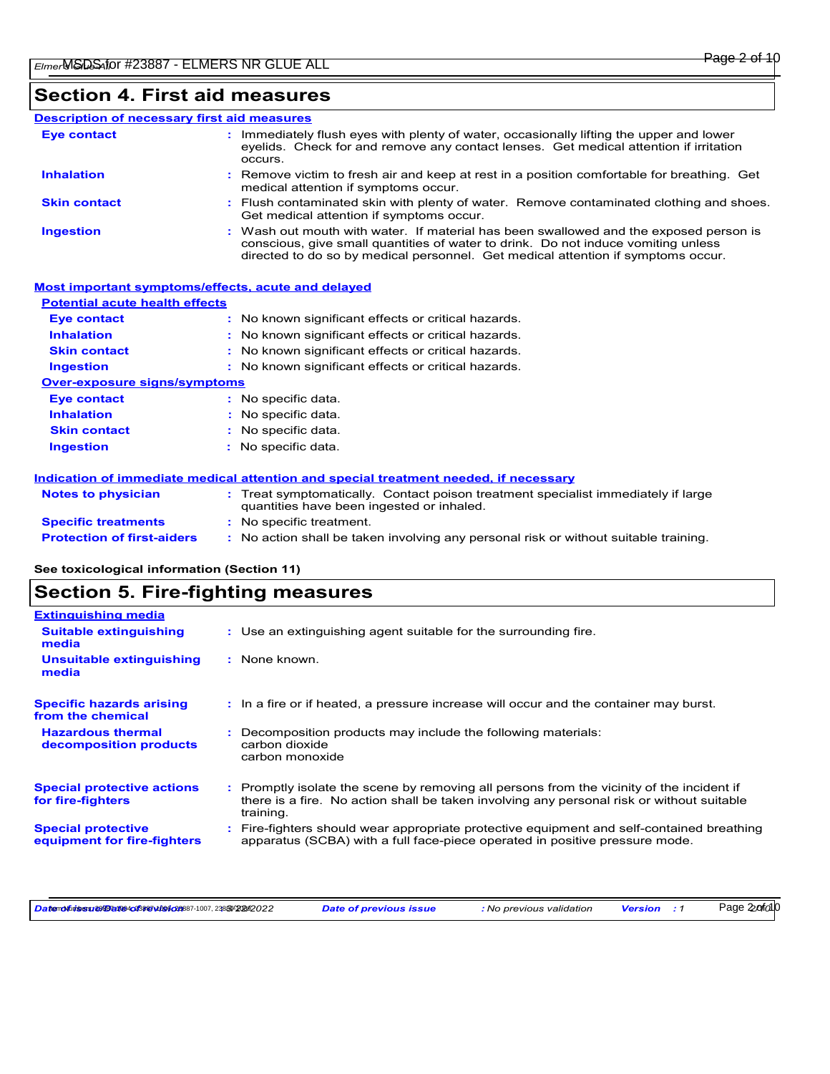#### Immediately flush eyes with plenty of water, occasionally lifting the upper and lower **Eye contact : Description of necessary first aid measures**

|                     | eyelids. Check for and remove any contact lenses. Get medical attention if irritation<br>occurs.                                                                                                                                                               |
|---------------------|----------------------------------------------------------------------------------------------------------------------------------------------------------------------------------------------------------------------------------------------------------------|
| <b>Inhalation</b>   | : Remove victim to fresh air and keep at rest in a position comfortable for breathing. Get<br>medical attention if symptoms occur.                                                                                                                             |
| <b>Skin contact</b> | : Flush contaminated skin with plenty of water. Remove contaminated clothing and shoes.<br>Get medical attention if symptoms occur.                                                                                                                            |
| <b>Ingestion</b>    | : Wash out mouth with water. If material has been swallowed and the exposed person is<br>conscious, give small quantities of water to drink. Do not induce vomiting unless<br>directed to do so by medical personnel. Get medical attention if symptoms occur. |

| Most important symptoms/effects, acute and delayed |                                                                                                                                |
|----------------------------------------------------|--------------------------------------------------------------------------------------------------------------------------------|
| <b>Potential acute health effects</b>              |                                                                                                                                |
| <b>Eye contact</b>                                 | : No known significant effects or critical hazards.                                                                            |
| <b>Inhalation</b>                                  | : No known significant effects or critical hazards.                                                                            |
| <b>Skin contact</b>                                | : No known significant effects or critical hazards.                                                                            |
| <b>Ingestion</b>                                   | : No known significant effects or critical hazards.                                                                            |
| <b>Over-exposure signs/symptoms</b>                |                                                                                                                                |
| <b>Eye contact</b>                                 | : No specific data.                                                                                                            |
| <b>Inhalation</b>                                  | $:$ No specific data.                                                                                                          |
| <b>Skin contact</b>                                | $:$ No specific data.                                                                                                          |
| <b>Ingestion</b>                                   | $:$ No specific data.                                                                                                          |
|                                                    | Indication of immediate medical attention and special treatment needed, if necessary                                           |
| <b>Notes to physician</b>                          | : Treat symptomatically. Contact poison treatment specialist immediately if large<br>quantities have been ingested or inhaled. |
| <b>Specific treatments</b>                         | : No specific treatment.                                                                                                       |
| <b>Protection of first-aiders</b>                  | : No action shall be taken involving any personal risk or without suitable training.                                           |

## **See toxicological information (Section 11)**

# **Section 5. Fire-fighting measures**

| <b>Extinguishing media</b>                               |                                                                                                                                                                                                     |
|----------------------------------------------------------|-----------------------------------------------------------------------------------------------------------------------------------------------------------------------------------------------------|
| <b>Suitable extinguishing</b><br>media                   | : Use an extinguishing agent suitable for the surrounding fire.                                                                                                                                     |
| <b>Unsuitable extinguishing</b><br>media                 | : None known.                                                                                                                                                                                       |
| <b>Specific hazards arising</b><br>from the chemical     | : In a fire or if heated, a pressure increase will occur and the container may burst.                                                                                                               |
| <b>Hazardous thermal</b><br>decomposition products       | Decomposition products may include the following materials:<br>carbon dioxide<br>carbon monoxide                                                                                                    |
| <b>Special protective actions</b><br>for fire-fighters   | : Promptly isolate the scene by removing all persons from the vicinity of the incident if<br>there is a fire. No action shall be taken involving any personal risk or without suitable<br>training. |
| <b>Special protective</b><br>equipment for fire-fighters | : Fire-fighters should wear appropriate protective equipment and self-contained breathing<br>apparatus (SCBA) with a full face-piece operated in positive pressure mode.                            |

Datenofuisesu estantinos/contractors/2008/2008/2008/2009/2020 Date of previous issue : No previous validation Version : 1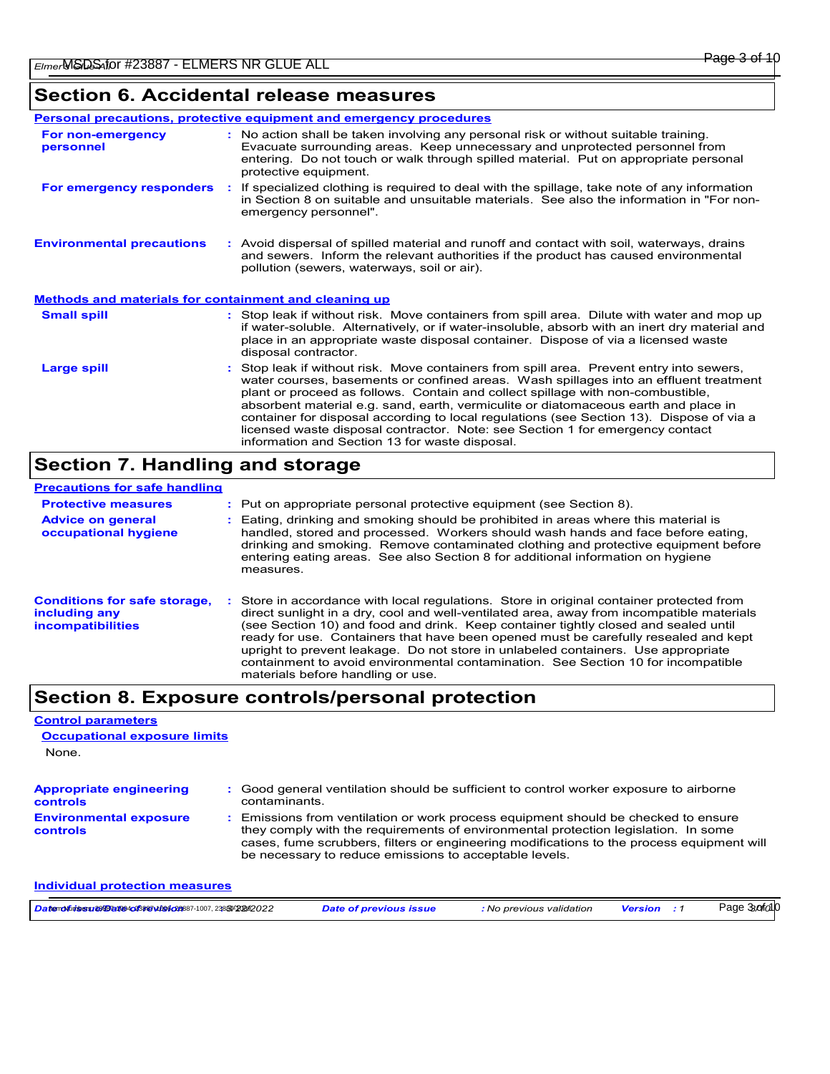## **Section 6. Accidental release measures**

|                                                              | <b>Personal precautions, protective equipment and emergency procedures</b>                                                                                                                                                                                                                                                                                                                                                                                                                                                                                                                 |
|--------------------------------------------------------------|--------------------------------------------------------------------------------------------------------------------------------------------------------------------------------------------------------------------------------------------------------------------------------------------------------------------------------------------------------------------------------------------------------------------------------------------------------------------------------------------------------------------------------------------------------------------------------------------|
| For non-emergency<br>personnel                               | : No action shall be taken involving any personal risk or without suitable training.<br>Evacuate surrounding areas. Keep unnecessary and unprotected personnel from<br>entering. Do not touch or walk through spilled material. Put on appropriate personal<br>protective equipment.                                                                                                                                                                                                                                                                                                       |
| For emergency responders                                     | If specialized clothing is required to deal with the spillage, take note of any information<br>$\mathcal{L}^{\mathcal{L}}$ .<br>in Section 8 on suitable and unsuitable materials. See also the information in "For non-<br>emergency personnel".                                                                                                                                                                                                                                                                                                                                          |
| <b>Environmental precautions</b>                             | : Avoid dispersal of spilled material and runoff and contact with soil, waterways, drains<br>and sewers. Inform the relevant authorities if the product has caused environmental<br>pollution (sewers, waterways, soil or air).                                                                                                                                                                                                                                                                                                                                                            |
| <b>Methods and materials for containment and cleaning up</b> |                                                                                                                                                                                                                                                                                                                                                                                                                                                                                                                                                                                            |
| <b>Small spill</b>                                           | : Stop leak if without risk. Move containers from spill area. Dilute with water and mop up<br>if water-soluble. Alternatively, or if water-insoluble, absorb with an inert dry material and<br>place in an appropriate waste disposal container. Dispose of via a licensed waste<br>disposal contractor.                                                                                                                                                                                                                                                                                   |
| <b>Large spill</b>                                           | : Stop leak if without risk. Move containers from spill area. Prevent entry into sewers,<br>water courses, basements or confined areas. Wash spillages into an effluent treatment<br>plant or proceed as follows. Contain and collect spillage with non-combustible,<br>absorbent material e.g. sand, earth, vermiculite or diatomaceous earth and place in<br>container for disposal according to local regulations (see Section 13). Dispose of via a<br>licensed waste disposal contractor. Note: see Section 1 for emergency contact<br>information and Section 13 for waste disposal. |

# **Section 7. Handling and storage**

| <b>Precautions for safe handling</b>                                             |                                                                                                                                                                                                                                                                                                                                                                                                                                                                                                                                                                                  |
|----------------------------------------------------------------------------------|----------------------------------------------------------------------------------------------------------------------------------------------------------------------------------------------------------------------------------------------------------------------------------------------------------------------------------------------------------------------------------------------------------------------------------------------------------------------------------------------------------------------------------------------------------------------------------|
| <b>Protective measures</b>                                                       | : Put on appropriate personal protective equipment (see Section 8).                                                                                                                                                                                                                                                                                                                                                                                                                                                                                                              |
| <b>Advice on general</b><br>occupational hygiene                                 | : Eating, drinking and smoking should be prohibited in areas where this material is<br>handled, stored and processed. Workers should wash hands and face before eating,<br>drinking and smoking. Remove contaminated clothing and protective equipment before<br>entering eating areas. See also Section 8 for additional information on hygiene<br>measures.                                                                                                                                                                                                                    |
| <b>Conditions for safe storage,</b><br>including any<br><i>incompatibilities</i> | Store in accordance with local regulations. Store in original container protected from<br>direct sunlight in a dry, cool and well-ventilated area, away from incompatible materials<br>(see Section 10) and food and drink. Keep container tightly closed and sealed until<br>ready for use. Containers that have been opened must be carefully resealed and kept<br>upright to prevent leakage. Do not store in unlabeled containers. Use appropriate<br>containment to avoid environmental contamination. See Section 10 for incompatible<br>materials before handling or use. |

# **Section 8. Exposure controls/personal protection**

## **Control parameters**

**Individual protection measures**

| <b>Occupational exposure limits</b>        |                                                                                                                                                                                                                                                                                                                                 |
|--------------------------------------------|---------------------------------------------------------------------------------------------------------------------------------------------------------------------------------------------------------------------------------------------------------------------------------------------------------------------------------|
| None.                                      |                                                                                                                                                                                                                                                                                                                                 |
| <b>Appropriate engineering</b><br>controls | : Good general ventilation should be sufficient to control worker exposure to airborne<br>contaminants.                                                                                                                                                                                                                         |
| <b>Environmental exposure</b><br>controls  | : Emissions from ventilation or work process equipment should be checked to ensure<br>they comply with the requirements of environmental protection legislation. In some<br>cases, fume scrubbers, filters or engineering modifications to the process equipment will<br>be necessary to reduce emissions to acceptable levels. |

| <b>Datemoluisesset@fatte4od3sszvids6od3</b> 887-1007, 2388%202022 | Date of previous issue | <b>:</b> No previous validation | <b>Version</b> | 3 and 0<br>Page |
|-------------------------------------------------------------------|------------------------|---------------------------------|----------------|-----------------|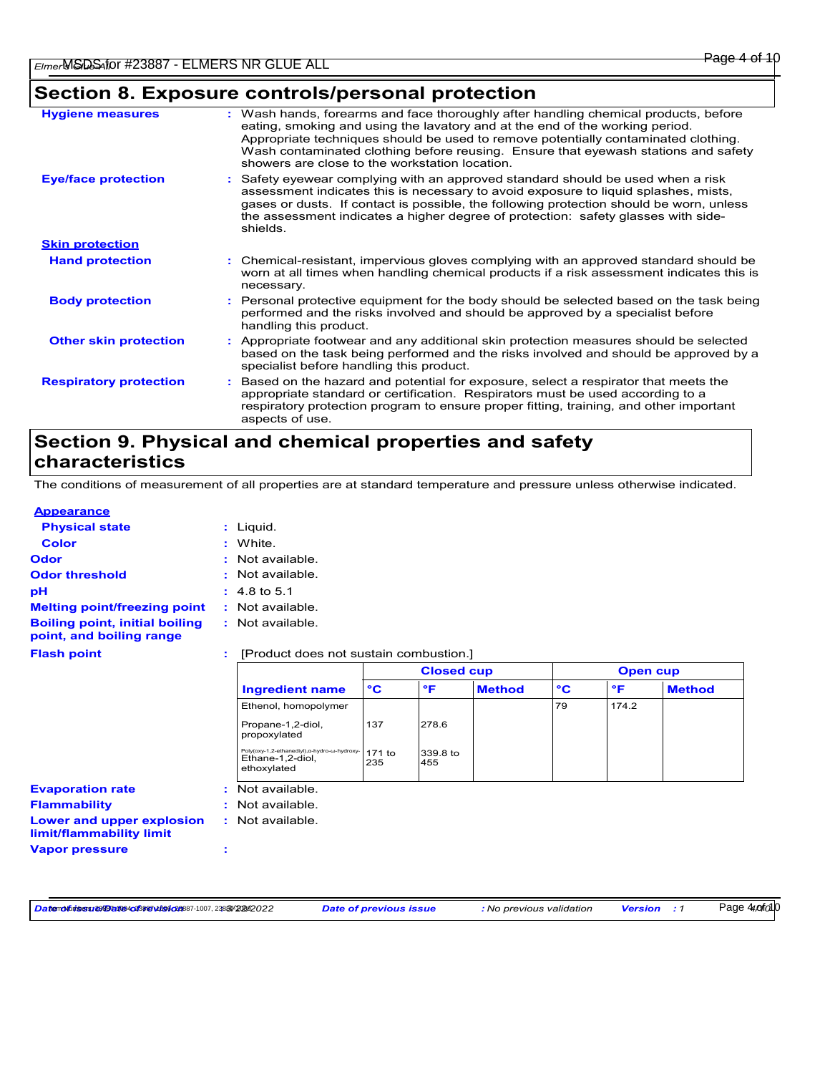# **Section 8. Exposure controls/personal protection**

| <b>Hygiene measures</b>       | : Wash hands, forearms and face thoroughly after handling chemical products, before<br>eating, smoking and using the lavatory and at the end of the working period.<br>Appropriate techniques should be used to remove potentially contaminated clothing.<br>Wash contaminated clothing before reusing. Ensure that eyewash stations and safety<br>showers are close to the workstation location. |
|-------------------------------|---------------------------------------------------------------------------------------------------------------------------------------------------------------------------------------------------------------------------------------------------------------------------------------------------------------------------------------------------------------------------------------------------|
| <b>Eye/face protection</b>    | : Safety eyewear complying with an approved standard should be used when a risk<br>assessment indicates this is necessary to avoid exposure to liquid splashes, mists,<br>gases or dusts. If contact is possible, the following protection should be worn, unless<br>the assessment indicates a higher degree of protection: safety glasses with side-<br>shields.                                |
| <b>Skin protection</b>        |                                                                                                                                                                                                                                                                                                                                                                                                   |
| <b>Hand protection</b>        | : Chemical-resistant, impervious gloves complying with an approved standard should be<br>worn at all times when handling chemical products if a risk assessment indicates this is<br>necessary.                                                                                                                                                                                                   |
| <b>Body protection</b>        | : Personal protective equipment for the body should be selected based on the task being<br>performed and the risks involved and should be approved by a specialist before<br>handling this product.                                                                                                                                                                                               |
| <b>Other skin protection</b>  | : Appropriate footwear and any additional skin protection measures should be selected<br>based on the task being performed and the risks involved and should be approved by a<br>specialist before handling this product.                                                                                                                                                                         |
| <b>Respiratory protection</b> | : Based on the hazard and potential for exposure, select a respirator that meets the<br>appropriate standard or certification. Respirators must be used according to a<br>respiratory protection program to ensure proper fitting, training, and other important<br>aspects of use.                                                                                                               |

## **Section 9. Physical and chemical properties and safety characteristics**

The conditions of measurement of all properties are at standard temperature and pressure unless otherwise indicated.

## **Appearance**

| <b>Physical state</b>                                                        |    | $:$ Liquid.                                                                     |               |                 |                 |              |       |               |
|------------------------------------------------------------------------------|----|---------------------------------------------------------------------------------|---------------|-----------------|-----------------|--------------|-------|---------------|
| <b>Color</b>                                                                 |    | : White.                                                                        |               |                 |                 |              |       |               |
| <b>Odor</b>                                                                  |    | : Not available.                                                                |               |                 |                 |              |       |               |
| <b>Odor threshold</b>                                                        |    | : Not available.                                                                |               |                 |                 |              |       |               |
| рH                                                                           |    | $: 4.8 \text{ to } 5.1$                                                         |               |                 |                 |              |       |               |
| <b>Melting point/freezing point</b>                                          |    | : Not available.                                                                |               |                 |                 |              |       |               |
| <b>Boiling point, initial boiling</b><br>point, and boiling range            |    | : Not available.                                                                |               |                 |                 |              |       |               |
| <b>Flash point</b>                                                           |    | [Product does not sustain combustion.]                                          |               |                 |                 |              |       |               |
|                                                                              |    | <b>Closed cup</b>                                                               |               |                 | <b>Open cup</b> |              |       |               |
|                                                                              |    | <b>Ingredient name</b>                                                          | $\mathbf{C}$  | $\mathsf{P}$    | <b>Method</b>   | $\mathbf{C}$ | °F    | <b>Method</b> |
|                                                                              |    | Ethenol, homopolymer                                                            |               |                 |                 | 79           | 174.2 |               |
|                                                                              |    | Propane-1,2-diol,<br>propoxylated                                               | 137           | 278.6           |                 |              |       |               |
|                                                                              |    | Poly(oxy-1,2-ethanediyl), a-hydro-w-hydroxy-<br>Ethane-1,2-diol,<br>ethoxylated | 171 to<br>235 | 339.8 to<br>455 |                 |              |       |               |
| <b>Evaporation rate</b>                                                      | ÷. | Not available.                                                                  |               |                 |                 |              |       |               |
|                                                                              |    |                                                                                 |               |                 |                 |              |       |               |
|                                                                              |    | : Not available.                                                                |               |                 |                 |              |       |               |
| <b>Flammability</b><br>Lower and upper explosion<br>limit/flammability limit |    | : Not available.                                                                |               |                 |                 |              |       |               |

Datenofuisesu estantinos/contractors/2008/2008/2008/2009/2020 Date of previous issue : No previous validation Version : 1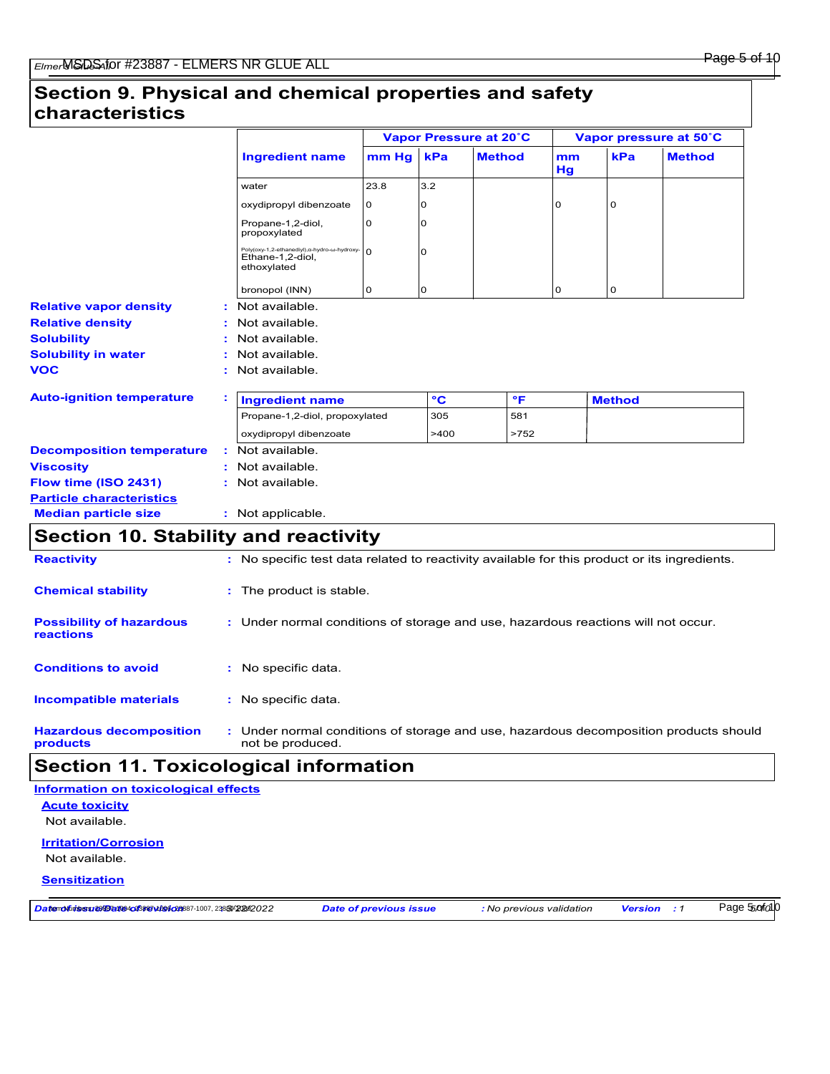### Page 5 of 10

## **Section 9. Physical and chemical properties and safety characteristics**

|                                              |                                                                                              |          | Vapor Pressure at 20°C |               |          | Vapor pressure at 50°C |               |  |
|----------------------------------------------|----------------------------------------------------------------------------------------------|----------|------------------------|---------------|----------|------------------------|---------------|--|
|                                              | <b>Ingredient name</b>                                                                       | mm Hg    | kPa                    | <b>Method</b> | mm<br>Hg | kPa                    | <b>Method</b> |  |
|                                              | water                                                                                        | 23.8     | 3.2                    |               |          |                        |               |  |
|                                              | oxydipropyl dibenzoate                                                                       | 0        | 0                      |               | $\Omega$ | 0                      |               |  |
|                                              | Propane-1,2-diol,<br>propoxylated                                                            | 0        | 0                      |               |          |                        |               |  |
|                                              | Poly(oxy-1,2-ethanediyl), a-hydro-w-hydroxy-<br>Ethane-1,2-diol,<br>ethoxylated              | $\Omega$ | $\Omega$               |               |          |                        |               |  |
|                                              | bronopol (INN)                                                                               | 0        | 0                      |               | 0        | 0                      |               |  |
| <b>Relative vapor density</b>                | Not available.                                                                               |          |                        |               |          |                        |               |  |
| <b>Relative density</b>                      | Not available.                                                                               |          |                        |               |          |                        |               |  |
| <b>Solubility</b>                            | : Not available.                                                                             |          |                        |               |          |                        |               |  |
| <b>Solubility in water</b>                   | Not available.                                                                               |          |                        |               |          |                        |               |  |
| <b>VOC</b>                                   | : Not available.                                                                             |          |                        |               |          |                        |               |  |
| <b>Auto-ignition temperature</b>             | <b>Ingredient name</b>                                                                       |          | °C                     | $\mathsf{P}$  |          | <b>Method</b>          |               |  |
|                                              | Propane-1,2-diol, propoxylated                                                               |          | 305                    | 581           |          |                        |               |  |
|                                              | oxydipropyl dibenzoate                                                                       |          | >400                   | >752          |          |                        |               |  |
| <b>Decomposition temperature</b>             | : Not available.                                                                             |          |                        |               |          |                        |               |  |
| <b>Viscosity</b>                             | : Not available.                                                                             |          |                        |               |          |                        |               |  |
| Flow time (ISO 2431)                         | : Not available.                                                                             |          |                        |               |          |                        |               |  |
| <b>Particle characteristics</b>              |                                                                                              |          |                        |               |          |                        |               |  |
| <b>Median particle size</b>                  | : Not applicable.                                                                            |          |                        |               |          |                        |               |  |
| <b>Section 10. Stability and reactivity</b>  |                                                                                              |          |                        |               |          |                        |               |  |
| <b>Reactivity</b>                            | : No specific test data related to reactivity available for this product or its ingredients. |          |                        |               |          |                        |               |  |
| <b>Chemical stability</b>                    | : The product is stable.                                                                     |          |                        |               |          |                        |               |  |
| <b>Possibility of hazardous</b><br>reactions | : Under normal conditions of storage and use, hazardous reactions will not occur.            |          |                        |               |          |                        |               |  |
| <b>Conditions to avoid</b>                   | : No specific data.                                                                          |          |                        |               |          |                        |               |  |

#### **Hazardous decomposition products** Under normal conditions of storage and use, hazardous decomposition products should **:** not be produced.

## **Section 11. Toxicological information**

: No specific data.

**Acute toxicity** Not available. **Irritation/Corrosion Information on toxicological effects**

Not available.

**Incompatible materials :**

### **Sensitization**

Datemolful sesures de aliada de la construction de la construction de la construction de la construction de la construction de la construction de la construction de la construction de la construction de la construction de

Page 55*of* 010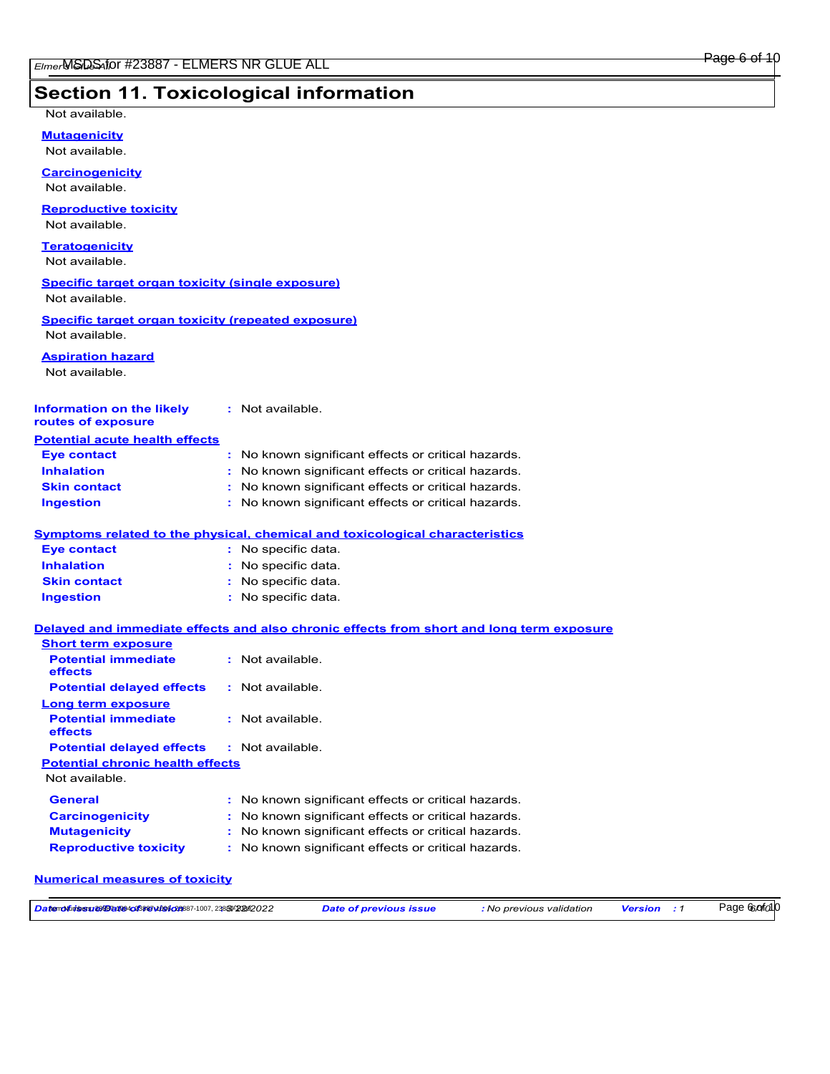### Page 6 of 10

## **Section 11. Toxicological information**

Not available.

**Mutagenicity**

Not available.

**Carcinogenicity** Not available.

## **Reproductive toxicity**

Not available.

### **Teratogenicity** Not available.

**Specific target organ toxicity (single exposure)**

Not available.

### **Specific target organ toxicity (repeated exposure)** Not available.

**Aspiration hazard**

Not available.

#### **Information on the likely routes of exposure :** Not available.

| <b>Eye contact</b>  | : No known significant effects or critical hazards. |
|---------------------|-----------------------------------------------------|
| <b>Inhalation</b>   | : No known significant effects or critical hazards. |
| <b>Skin contact</b> | : No known significant effects or critical hazards. |
| <b>Ingestion</b>    | : No known significant effects or critical hazards. |

### **Symptoms related to the physical, chemical and toxicological characteristics**

| <b>Eye contact</b>  | : No specific data. |
|---------------------|---------------------|
| <b>Inhalation</b>   | : No specific data. |
| <b>Skin contact</b> | : No specific data. |
| <b>Ingestion</b>    | : No specific data. |

### **Delayed and immediate effects and also chronic effects from short and long term exposure**

| <b>Short term exposure</b>                   |                                                     |  |
|----------------------------------------------|-----------------------------------------------------|--|
| <b>Potential immediate</b><br>effects        | $:$ Not available.                                  |  |
| <b>Potential delayed effects</b>             | : Not available.                                    |  |
| Long term exposure                           |                                                     |  |
| <b>Potential immediate</b><br><b>effects</b> | : Not available.                                    |  |
| <b>Potential delayed effects</b>             | : Not available.                                    |  |
| <b>Potential chronic health effects</b>      |                                                     |  |
| Not available.                               |                                                     |  |
| <b>General</b>                               | : No known significant effects or critical hazards. |  |
| <b>Carcinogenicity</b>                       | : No known significant effects or critical hazards. |  |
| <b>Mutagenicity</b>                          | : No known significant effects or critical hazards. |  |
| <b>Reproductive toxicity</b>                 | : No known significant effects or critical hazards. |  |

### **Numerical measures of toxicity**

| Datemoluises: esta ante 4023 sa vibe (20887-1007, 2388/2020222 | Date of previous issue | <b>:</b> No previous validation | <b>Version</b> | Page Control 0 |
|----------------------------------------------------------------|------------------------|---------------------------------|----------------|----------------|
|----------------------------------------------------------------|------------------------|---------------------------------|----------------|----------------|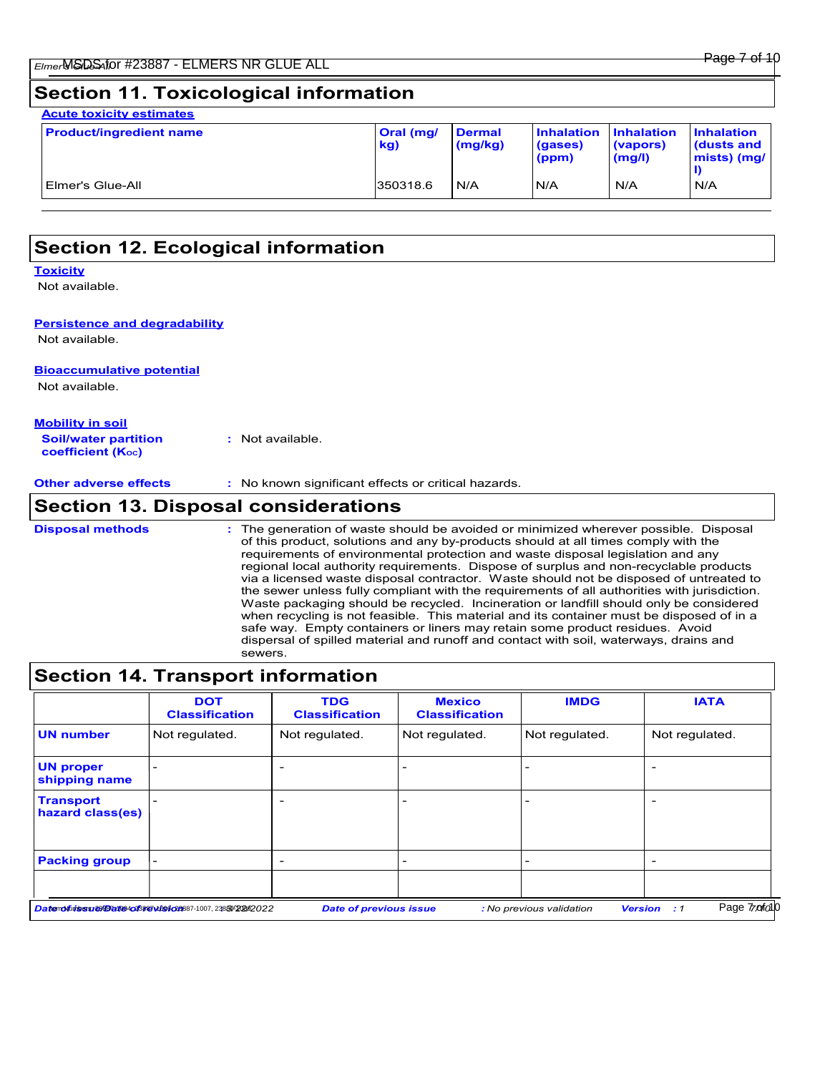## **Section 11. Toxicological information**

| <b>Acute toxicity estimates</b><br><b>Product/ingredient name</b> | Oral (mg/<br>kg) | <b>Dermal</b><br>(mg/kg) | <b>Inhalation</b><br>(gases)<br>(ppm) | <b>Inhalation</b><br>(vapors)<br>(mg/l) | <b>Inhalation</b><br>dusts and<br>mists) (mg/ |
|-------------------------------------------------------------------|------------------|--------------------------|---------------------------------------|-----------------------------------------|-----------------------------------------------|
| Elmer's Glue-All                                                  | 350318.6         | N/A                      | N/A                                   | N/A                                     | N/A                                           |
|                                                                   |                  |                          |                                       |                                         |                                               |

| <b>Section 12. Ecological information</b> |  |
|-------------------------------------------|--|
|                                           |  |

### **Toxicity**

Not available.

### **Persistence and degradability**

Not available.

## **Bioaccumulative potential**

Not available.

| <b>Mobility in soil</b>                                       |                  |
|---------------------------------------------------------------|------------------|
| <b>Soil/water partition</b><br>coefficient (K <sub>oc</sub> ) | : Not available. |

**Other adverse effects :** No known significant effects or critical hazards.

## **Section 13. Disposal considerations**

The generation of waste should be avoided or minimized wherever possible. Disposal of this product, solutions and any by-products should at all times comply with the requirements of environmental protection and waste disposal legislation and any regional local authority requirements. Dispose of surplus and non-recyclable products via a licensed waste disposal contractor. Waste should not be disposed of untreated to the sewer unless fully compliant with the requirements of all authorities with jurisdiction. Waste packaging should be recycled. Incineration or landfill should only be considered when recycling is not feasible. This material and its container must be disposed of in a safe way. Empty containers or liners may retain some product residues. Avoid dispersal of spilled material and runoff and contact with soil, waterways, drains and sewers. **Disposal methods :**

## **Section 14. Transport information**

|                                      | <b>DOT</b><br><b>Classification</b>                        | <b>TDG</b><br><b>Classification</b> | <b>Mexico</b><br><b>Classification</b> | <b>IMDG</b>              | <b>IATA</b>                                      |
|--------------------------------------|------------------------------------------------------------|-------------------------------------|----------------------------------------|--------------------------|--------------------------------------------------|
| <b>UN number</b>                     | Not regulated.                                             | Not regulated.                      | Not regulated.                         | Not regulated.           | Not regulated.                                   |
| <b>UN proper</b><br>shipping name    |                                                            |                                     |                                        |                          | $\overline{\phantom{0}}$                         |
| <b>Transport</b><br>hazard class(es) |                                                            |                                     |                                        |                          | $\overline{\phantom{a}}$                         |
| <b>Packing group</b>                 | $\overline{\phantom{0}}$                                   |                                     |                                        |                          | $\overline{\phantom{a}}$                         |
|                                      |                                                            |                                     |                                        |                          |                                                  |
|                                      | Datemolinisesset@fartm4pd38arwins6pm887-1007, 2388/2020222 | <b>Date of previous issue</b>       |                                        | : No previous validation | Page 7 <sub>70</sub> fol 0<br><b>Version</b> : 1 |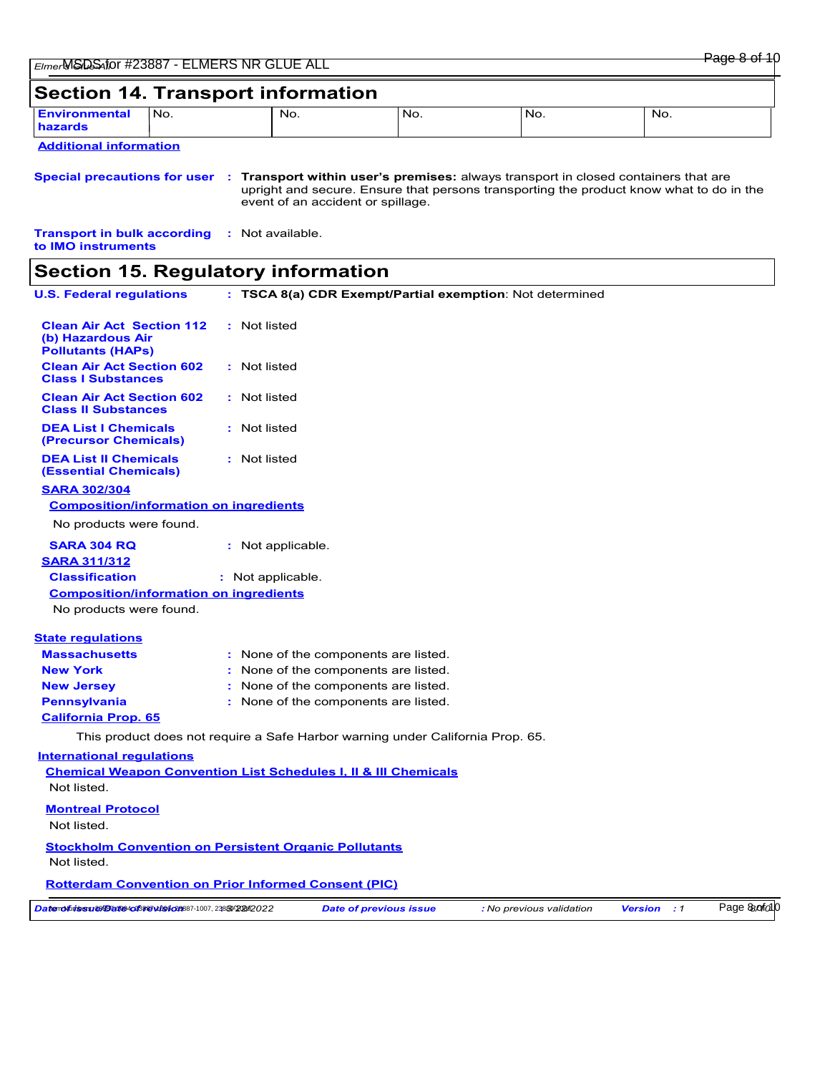## **Section 14. Transport information Additional information Environmental** No. **hazards Special precautions for user Transport within user's premises:** always transport in closed containers that are **:** No. No. No. upright and secure. Ensure that persons transporting the product know what to do in the event of an accident or spillage. No. No. **Transport in bulk according to IMO instruments :** Not available. **Section 15. Regulatory information U.S. Federal regulations** None of the components are listed. **:** This product does not require a Safe Harbor warning under California Prop. 65. **Massachusetts : TSCA 8(a) CDR Exempt/Partial exemption**: Not determined **California Prop. 65 Clean Air Act Section 112 (b) Hazardous Air Pollutants (HAPs) :** Not listed **Clean Air Act Section 602 Class I Substances :** Not listed **Clean Air Act Section 602 Class II Substances :** Not listed **DEA List I Chemicals (Precursor Chemicals) :** Not listed **DEA List II Chemicals (Essential Chemicals) :** Not listed **New York :** None of the components are listed. **New Jersey :** None of the components are listed. **Pennsylvania :** None of the components are listed. **State regulations SARA 302/304 SARA 304 RQ :** Not applicable. No products were found. **Composition/information on ingredients International regulations Chemical Weapon Convention List Schedules I, II & III Chemicals Montreal Protocol** Not listed. **Stockholm Convention on Persistent Organic Pollutants** Not listed. **Rotterdam Convention on Prior Informed Consent (PIC)** Not listed. **SARA 311/312 Classification :** Not applicable. No products were found. **Composition/information on ingredients**

Datemoluissu ജയിയ സ്കൂര്യമാണ് കാര്യമാണ് Date of previous issue *:* No previous validation version : 1 Page & orfo10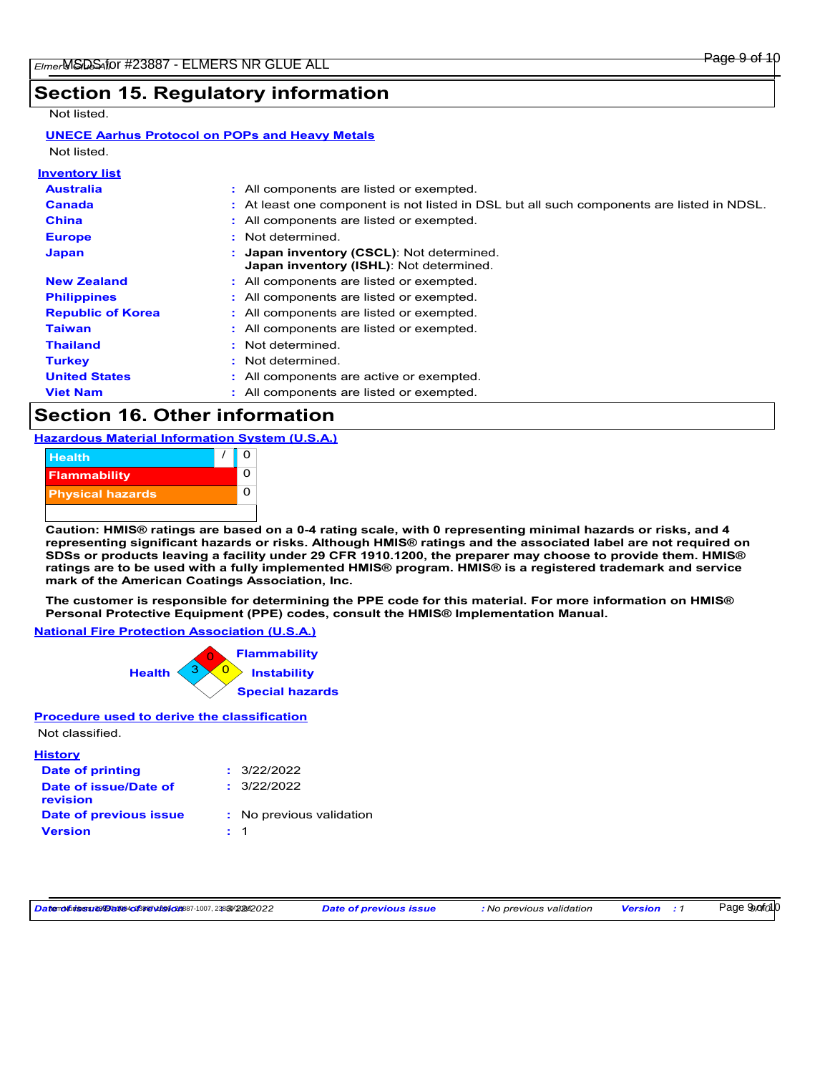## Page 9 of 10

## **Section 15. Regulatory information**

## Not listed.

### **UNECE Aarhus Protocol on POPs and Heavy Metals** Not listed.

| : All components are listed or exempted.                                                    |
|---------------------------------------------------------------------------------------------|
| : At least one component is not listed in DSL but all such components are listed in NDSL.   |
| : All components are listed or exempted.                                                    |
| : Not determined.                                                                           |
| : Japan inventory (CSCL): Not determined.<br><b>Japan inventory (ISHL):</b> Not determined. |
| : All components are listed or exempted.                                                    |
| : All components are listed or exempted.                                                    |
| : All components are listed or exempted.                                                    |
| : All components are listed or exempted.                                                    |
| : Not determined.                                                                           |
| : Not determined.                                                                           |
| : All components are active or exempted.                                                    |
| : All components are listed or exempted.                                                    |
|                                                                                             |

## **Section 16. Other information**

**Hazardous Material Information System (U.S.A.)**

| <b>Health</b>           |  |  |
|-------------------------|--|--|
| <b>Flammability</b>     |  |  |
| <b>Physical hazards</b> |  |  |
|                         |  |  |

**Caution: HMIS® ratings are based on a 0-4 rating scale, with 0 representing minimal hazards or risks, and 4 representing significant hazards or risks. Although HMIS® ratings and the associated label are not required on SDSs or products leaving a facility under 29 CFR 1910.1200, the preparer may choose to provide them. HMIS® ratings are to be used with a fully implemented HMIS® program. HMIS® is a registered trademark and service mark of the American Coatings Association, Inc.**

**The customer is responsible for determining the PPE code for this material. For more information on HMIS® Personal Protective Equipment (PPE) codes, consult the HMIS® Implementation Manual.**

**National Fire Protection Association (U.S.A.)**



**Procedure used to derive the classification**

## Not classified.

| <b>History</b>                    |                          |
|-----------------------------------|--------------------------|
| Date of printing                  | : 3/22/2022              |
| Date of issue/Date of<br>revision | : 3/22/2022              |
| Date of previous issue            | : No previous validation |
| <b>Version</b>                    | $\cdot$ 1                |

Datenofuissunes **Bartes of Startist Constant Constant Constant Constant Constant Constant Constant Constant Date of previous issue : 1 Date of previous issue : 1 Date of previous validation Version : 1** 

Page 99.ofo10